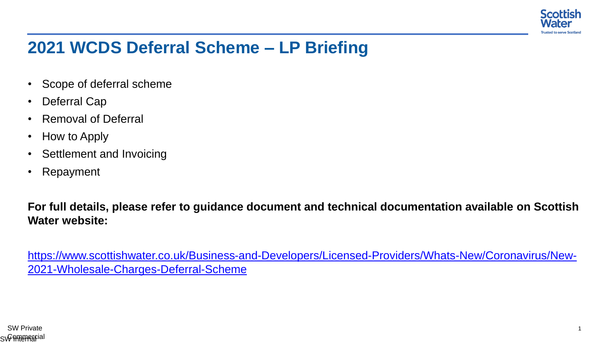

## **2021 WCDS Deferral Scheme – LP Briefing**

- Scope of deferral scheme
- Deferral Cap
- Removal of Deferral
- How to Apply
- Settlement and Invoicing
- Repayment

**For full details, please refer to guidance document and technical documentation available on Scottish Water website:**

https://www.scottishwater.co.uk/Business-and-Developers/Licensed-Providers/Whats-New/Coronavirus/New-2021-Wholesale-Charges-Deferral-Scheme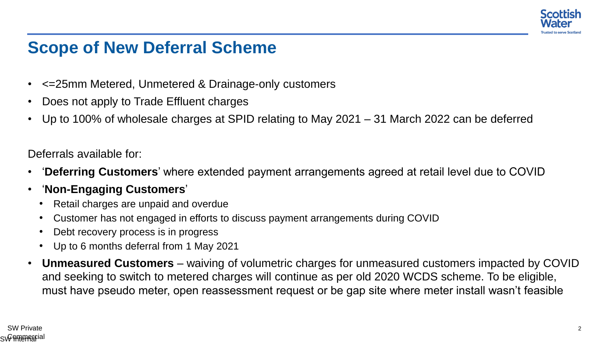

### **Scope of New Deferral Scheme**

- <=25mm Metered, Unmetered & Drainage-only customers
- Does not apply to Trade Effluent charges
- Up to 100% of wholesale charges at SPID relating to May 2021 31 March 2022 can be deferred

Deferrals available for:

- '**Deferring Customers**' where extended payment arrangements agreed at retail level due to COVID
- '**Non-Engaging Customers**'
	- Retail charges are unpaid and overdue
	- Customer has not engaged in efforts to discuss payment arrangements during COVID
	- Debt recovery process is in progress
	- Up to 6 months deferral from 1 May 2021
- **Unmeasured Customers**  waiving of volumetric charges for unmeasured customers impacted by COVID and seeking to switch to metered charges will continue as per old 2020 WCDS scheme. To be eligible, must have pseudo meter, open reassessment request or be gap site where meter install wasn't feasible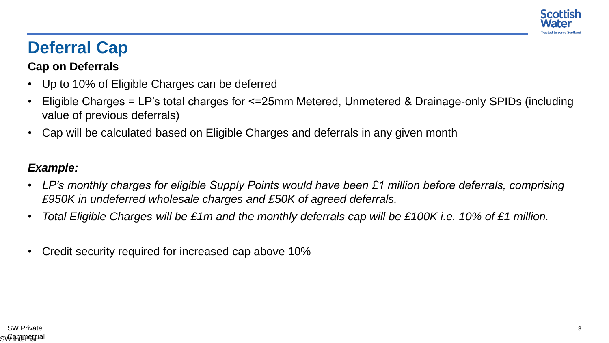

# **Deferral Cap**

#### **Cap on Deferrals**

- Up to 10% of Eligible Charges can be deferred
- Eligible Charges = LP's total charges for <=25mm Metered, Unmetered & Drainage-only SPIDs (including value of previous deferrals)
- Cap will be calculated based on Eligible Charges and deferrals in any given month

### *Example:*

- *LP's monthly charges for eligible Supply Points would have been £1 million before deferrals, comprising £950K in undeferred wholesale charges and £50K of agreed deferrals,*
- *Total Eligible Charges will be £1m and the monthly deferrals cap will be £100K i.e. 10% of £1 million.*
- Credit security required for increased cap above 10%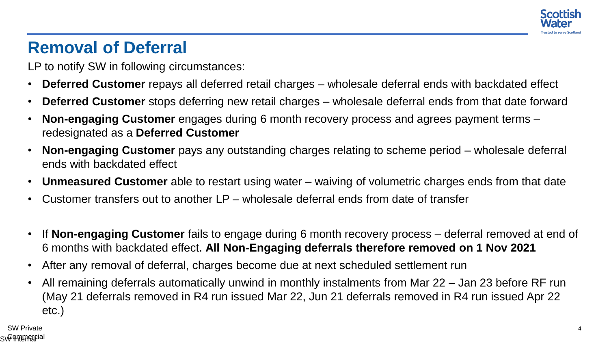

## **Removal of Deferral**

LP to notify SW in following circumstances:

- **Deferred Customer** repays all deferred retail charges wholesale deferral ends with backdated effect
- **Deferred Customer** stops deferring new retail charges wholesale deferral ends from that date forward
- **Non-engaging Customer** engages during 6 month recovery process and agrees payment terms redesignated as a **Deferred Customer**
- **Non-engaging Customer** pays any outstanding charges relating to scheme period wholesale deferral ends with backdated effect
- **Unmeasured Customer** able to restart using water waiving of volumetric charges ends from that date
- Customer transfers out to another LP wholesale deferral ends from date of transfer
- If **Non-engaging Customer** fails to engage during 6 month recovery process deferral removed at end of 6 months with backdated effect. **All Non-Engaging deferrals therefore removed on 1 Nov 2021**
- After any removal of deferral, charges become due at next scheduled settlement run
- All remaining deferrals automatically unwind in monthly instalments from Mar 22 Jan 23 before RF run (May 21 deferrals removed in R4 run issued Mar 22, Jun 21 deferrals removed in R4 run issued Apr 22 etc.)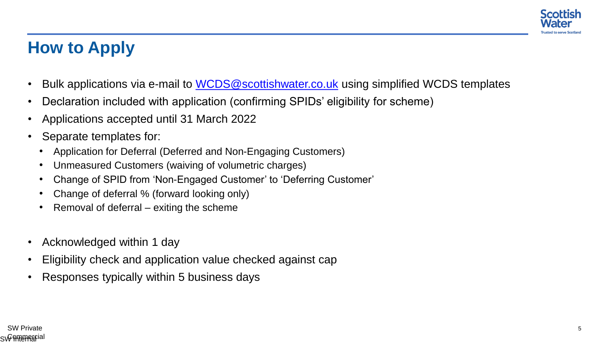

# **How to Apply**

- Bulk applications via e-mail to WCDS@scottishwater.co.uk using simplified WCDS templates
- Declaration included with application (confirming SPIDs' eligibility for scheme)
- Applications accepted until 31 March 2022
- Separate templates for:
	- Application for Deferral (Deferred and Non-Engaging Customers)
	- Unmeasured Customers (waiving of volumetric charges)
	- Change of SPID from 'Non-Engaged Customer' to 'Deferring Customer'
	- Change of deferral % (forward looking only)
	- Removal of deferral exiting the scheme
- Acknowledged within 1 day
- Eligibility check and application value checked against cap
- Responses typically within 5 business days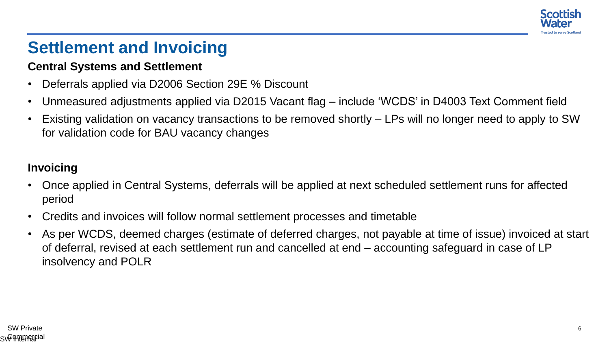

## **Settlement and Invoicing**

#### **Central Systems and Settlement**

- Deferrals applied via D2006 Section 29E % Discount
- Unmeasured adjustments applied via D2015 Vacant flag include 'WCDS' in D4003 Text Comment field
- Existing validation on vacancy transactions to be removed shortly LPs will no longer need to apply to SW for validation code for BAU vacancy changes

### **Invoicing**

- Once applied in Central Systems, deferrals will be applied at next scheduled settlement runs for affected period
- Credits and invoices will follow normal settlement processes and timetable
- As per WCDS, deemed charges (estimate of deferred charges, not payable at time of issue) invoiced at start of deferral, revised at each settlement run and cancelled at end – accounting safeguard in case of LP insolvency and POLR